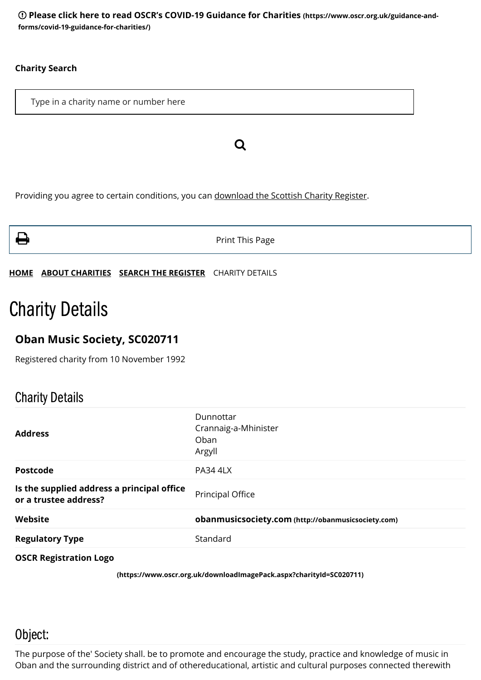**[Please click here to read OSCR's COVID-19 Guidance for Charities](https://www.oscr.org.uk/guidance-and-forms/covid-19-guidance-for-charities/) (https://www.oscr.org.uk/guidance-andforms/covid-19-guidance-for-charities/)**

#### **Charity Search**

Type in a charity name or number here

Providing you agree to certain conditions, you can [download the Scottish Charity Register](https://www.oscr.org.uk/about-charities/search-the-register/charity-register-download/).



**Print This Page** 

Q

**[HOME](https://www.oscr.org.uk/) [ABOUT CHARITIES](https://www.oscr.org.uk/about-charities/) [SEARCH THE REGISTER](https://www.oscr.org.uk/about-charities/search-the-register/)** CHARITY DETAILS

# Charity Details

#### **Oban Music Society, SC020711**

Registered charity from 10 November 1992

### Charity Details

| <b>Address</b>                                                      | Dunnottar<br>Crannaig-a-Mhinister<br>Oban<br>Argyll |
|---------------------------------------------------------------------|-----------------------------------------------------|
| <b>Postcode</b>                                                     | <b>PA34 4LX</b>                                     |
| Is the supplied address a principal office<br>or a trustee address? | Principal Office                                    |
| Website                                                             | obanmusicsociety.com (http://obanmusicsociety.com)  |
| <b>Regulatory Type</b>                                              | Standard                                            |
|                                                                     |                                                     |

**OSCR Registration Logo**

**[\(https://www.oscr.org.uk/downloadImagePack.aspx?charityId=SC020711\)](https://www.oscr.org.uk/downloadImagePack.aspx?charityId=SC020711)**

### Object:

The purpose of the' Society shall. be to promote and encourage the study, practice and knowledge of music in Oban and the surrounding district and of othereducational, artistic and cultural purposes connected therewith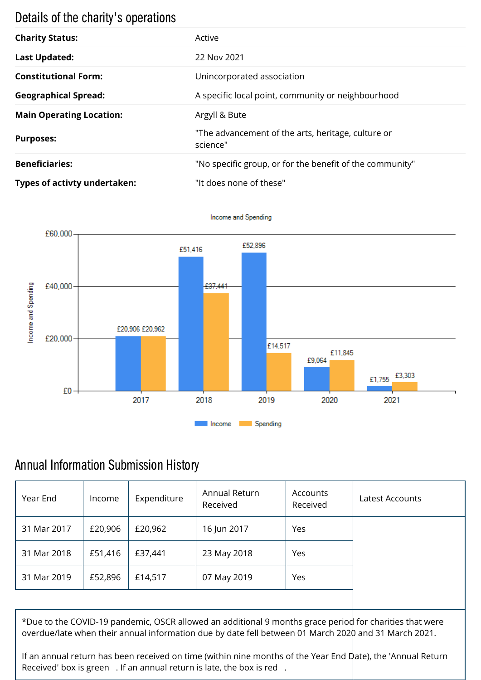# Details of the charity's operations

| <b>Charity Status:</b>          | Active                                                         |
|---------------------------------|----------------------------------------------------------------|
| <b>Last Updated:</b>            | 22 Nov 2021                                                    |
| <b>Constitutional Form:</b>     | Unincorporated association                                     |
| <b>Geographical Spread:</b>     | A specific local point, community or neighbourhood             |
| <b>Main Operating Location:</b> | Argyll & Bute                                                  |
| <b>Purposes:</b>                | "The advancement of the arts, heritage, culture or<br>science" |
| <b>Beneficiaries:</b>           | "No specific group, or for the benefit of the community"       |
| Types of activty undertaken:    | "It does none of these"                                        |



Income and Spending

## Annual Information Submission History

| Year End    | Income  | Expenditure | Annual Return<br>Received | Accounts<br>Received | Latest Accounts |
|-------------|---------|-------------|---------------------------|----------------------|-----------------|
| 31 Mar 2017 | £20,906 | £20,962     | 16 Jun 2017               | Yes                  |                 |
| 31 Mar 2018 | £51,416 | £37,441     | 23 May 2018               | Yes                  |                 |
| 31 Mar 2019 | £52,896 | £14,517     | 07 May 2019               | Yes                  |                 |
|             |         |             |                           |                      |                 |

\*Due to the COVID-19 pandemic, OSCR allowed an additional 9 months grace period for charities that were overdue/late when their annual information due by date fell between 01 March 2020 and 31 March 2021.

If an annual return has been received on time (within nine months of the Year End Date), the 'Annual Return Received' box is green . If an annual return is late, the box is red .